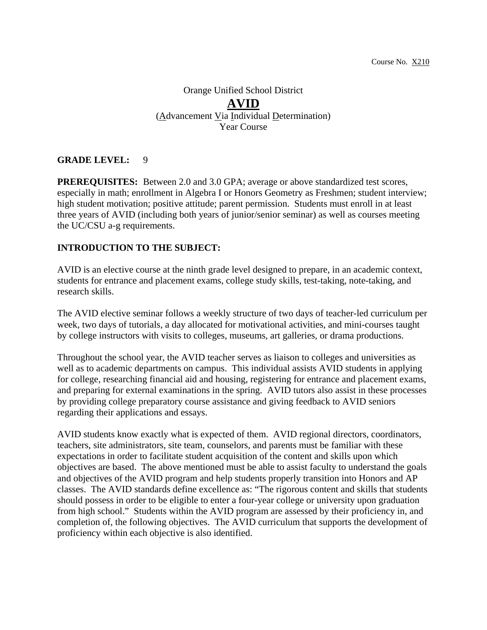# Orange Unified School District **AVID** (Advancement Via Individual Determination) Year Course

### **GRADE LEVEL:** 9

**PREREQUISITES:** Between 2.0 and 3.0 GPA; average or above standardized test scores, especially in math; enrollment in Algebra I or Honors Geometry as Freshmen; student interview; high student motivation; positive attitude; parent permission. Students must enroll in at least three years of AVID (including both years of junior/senior seminar) as well as courses meeting the UC/CSU a-g requirements.

### **INTRODUCTION TO THE SUBJECT:**

AVID is an elective course at the ninth grade level designed to prepare, in an academic context, students for entrance and placement exams, college study skills, test-taking, note-taking, and research skills.

The AVID elective seminar follows a weekly structure of two days of teacher-led curriculum per week, two days of tutorials, a day allocated for motivational activities, and mini-courses taught by college instructors with visits to colleges, museums, art galleries, or drama productions.

Throughout the school year, the AVID teacher serves as liaison to colleges and universities as well as to academic departments on campus. This individual assists AVID students in applying for college, researching financial aid and housing, registering for entrance and placement exams, and preparing for external examinations in the spring. AVID tutors also assist in these processes by providing college preparatory course assistance and giving feedback to AVID seniors regarding their applications and essays.

AVID students know exactly what is expected of them. AVID regional directors, coordinators, teachers, site administrators, site team, counselors, and parents must be familiar with these expectations in order to facilitate student acquisition of the content and skills upon which objectives are based. The above mentioned must be able to assist faculty to understand the goals and objectives of the AVID program and help students properly transition into Honors and AP classes. The AVID standards define excellence as: "The rigorous content and skills that students should possess in order to be eligible to enter a four-year college or university upon graduation from high school." Students within the AVID program are assessed by their proficiency in, and completion of, the following objectives. The AVID curriculum that supports the development of proficiency within each objective is also identified.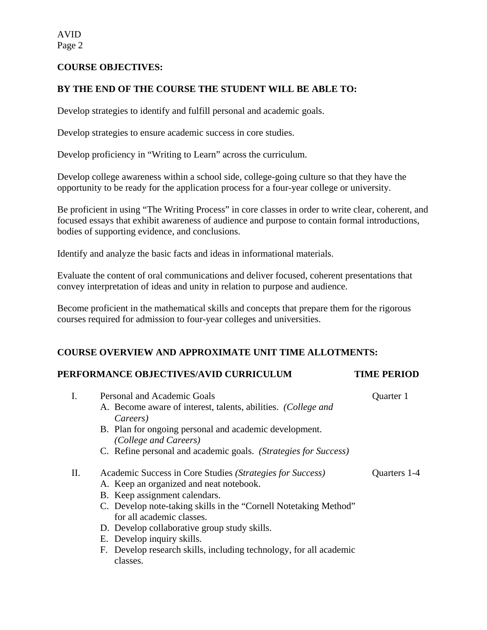#### **COURSE OBJECTIVES:**

#### **BY THE END OF THE COURSE THE STUDENT WILL BE ABLE TO:**

Develop strategies to identify and fulfill personal and academic goals.

Develop strategies to ensure academic success in core studies.

Develop proficiency in "Writing to Learn" across the curriculum.

Develop college awareness within a school side, college-going culture so that they have the opportunity to be ready for the application process for a four-year college or university.

Be proficient in using "The Writing Process" in core classes in order to write clear, coherent, and focused essays that exhibit awareness of audience and purpose to contain formal introductions, bodies of supporting evidence, and conclusions.

Identify and analyze the basic facts and ideas in informational materials.

Evaluate the content of oral communications and deliver focused, coherent presentations that convey interpretation of ideas and unity in relation to purpose and audience.

Become proficient in the mathematical skills and concepts that prepare them for the rigorous courses required for admission to four-year colleges and universities.

#### **COURSE OVERVIEW AND APPROXIMATE UNIT TIME ALLOTMENTS:**

#### **PERFORMANCE OBJECTIVES/AVID CURRICULUM TIME PERIOD**

|    | Personal and Academic Goals                                        | Quarter 1    |
|----|--------------------------------------------------------------------|--------------|
|    | A. Become aware of interest, talents, abilities. (College and      |              |
|    | Careers)                                                           |              |
|    | B. Plan for ongoing personal and academic development.             |              |
|    | (College and Careers)                                              |              |
|    | C. Refine personal and academic goals. (Strategies for Success)    |              |
| Π. | Academic Success in Core Studies (Strategies for Success)          | Quarters 1-4 |
|    | A. Keep an organized and neat notebook.                            |              |
|    | B. Keep assignment calendars.                                      |              |
|    | C. Develop note-taking skills in the "Cornell Notetaking Method"   |              |
|    | for all academic classes.                                          |              |
|    | D. Develop collaborative group study skills.                       |              |
|    | E. Develop inquiry skills.                                         |              |
|    | F. Develop research skills, including technology, for all academic |              |
|    | classes.                                                           |              |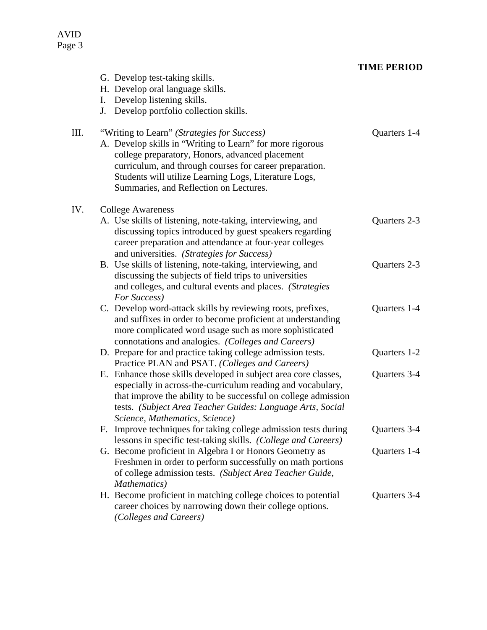### AVID Page 3

## **TIME PERIOD**

|      | G. Develop test-taking skills.<br>H. Develop oral language skills.<br>I. Develop listening skills.<br>J. Develop portfolio collection skills.                                                                                                                                                                             |              |
|------|---------------------------------------------------------------------------------------------------------------------------------------------------------------------------------------------------------------------------------------------------------------------------------------------------------------------------|--------------|
| III. | "Writing to Learn" (Strategies for Success)<br>A. Develop skills in "Writing to Learn" for more rigorous<br>college preparatory, Honors, advanced placement<br>curriculum, and through courses for career preparation.<br>Students will utilize Learning Logs, Literature Logs,<br>Summaries, and Reflection on Lectures. | Quarters 1-4 |
| IV.  | <b>College Awareness</b><br>A. Use skills of listening, note-taking, interviewing, and<br>discussing topics introduced by guest speakers regarding<br>career preparation and attendance at four-year colleges<br>and universities. (Strategies for Success)                                                               | Quarters 2-3 |
|      | B. Use skills of listening, note-taking, interviewing, and<br>discussing the subjects of field trips to universities<br>and colleges, and cultural events and places. (Strategies<br>For Success)                                                                                                                         | Quarters 2-3 |
|      | C. Develop word-attack skills by reviewing roots, prefixes,<br>and suffixes in order to become proficient at understanding<br>more complicated word usage such as more sophisticated<br>connotations and analogies. (Colleges and Careers)                                                                                | Quarters 1-4 |
|      | D. Prepare for and practice taking college admission tests.<br>Practice PLAN and PSAT. (Colleges and Careers)                                                                                                                                                                                                             | Quarters 1-2 |
|      | E. Enhance those skills developed in subject area core classes,<br>especially in across-the-curriculum reading and vocabulary,<br>that improve the ability to be successful on college admission<br>tests. (Subject Area Teacher Guides: Language Arts, Social<br>Science, Mathematics, Science)                          | Quarters 3-4 |
|      | F. Improve techniques for taking college admission tests during<br>lessons in specific test-taking skills. (College and Careers)                                                                                                                                                                                          | Quarters 3-4 |
|      | G. Become proficient in Algebra I or Honors Geometry as<br>Freshmen in order to perform successfully on math portions<br>of college admission tests. (Subject Area Teacher Guide,<br>Mathematics)                                                                                                                         | Quarters 1-4 |
|      | H. Become proficient in matching college choices to potential<br>career choices by narrowing down their college options.<br>(Colleges and Careers)                                                                                                                                                                        | Quarters 3-4 |